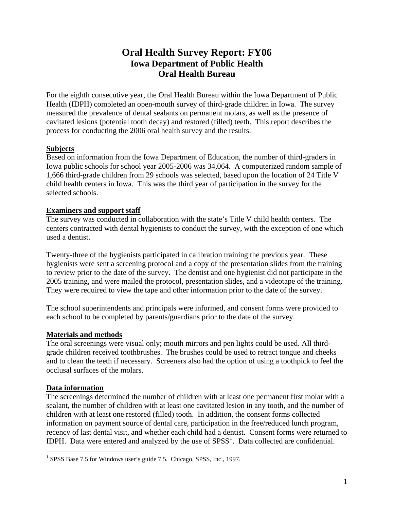# **Oral Health Survey Report: FY06 Iowa Department of Public Health Oral Health Bureau**

For the eighth consecutive year, the Oral Health Bureau within the Iowa Department of Public Health (IDPH) completed an open-mouth survey of third-grade children in Iowa. The survey measured the prevalence of dental sealants on permanent molars, as well as the presence of cavitated lesions (potential tooth decay) and restored (filled) teeth. This report describes the process for conducting the 2006 oral health survey and the results.

## **Subjects**

Based on information from the Iowa Department of Education, the number of third-graders in Iowa public schools for school year 2005-2006 was 34,064. A computerized random sample of 1,666 third-grade children from 29 schools was selected, based upon the location of 24 Title V child health centers in Iowa. This was the third year of participation in the survey for the selected schools.

#### **Examiners and support staff**

The survey was conducted in collaboration with the state's Title V child health centers. The centers contracted with dental hygienists to conduct the survey, with the exception of one which used a dentist.

Twenty-three of the hygienists participated in calibration training the previous year. These hygienists were sent a screening protocol and a copy of the presentation slides from the training to review prior to the date of the survey. The dentist and one hygienist did not participate in the 2005 training, and were mailed the protocol, presentation slides, and a videotape of the training. They were required to view the tape and other information prior to the date of the survey.

The school superintendents and principals were informed, and consent forms were provided to each school to be completed by parents/guardians prior to the date of the survey.

#### **Materials and methods**

The oral screenings were visual only; mouth mirrors and pen lights could be used. All thirdgrade children received toothbrushes. The brushes could be used to retract tongue and cheeks and to clean the teeth if necessary. Screeners also had the option of using a toothpick to feel the occlusal surfaces of the molars.

#### **Data information**

 $\overline{a}$ 

The screenings determined the number of children with at least one permanent first molar with a sealant, the number of children with at least one cavitated lesion in any tooth, and the number of children with at least one restored (filled) tooth. In addition, the consent forms collected information on payment source of dental care, participation in the free/reduced lunch program, recency of last dental visit, and whether each child had a dentist. Consent forms were returned to IDPH. Data were entered and analyzed by the use of  $SPSS<sup>1</sup>$  $SPSS<sup>1</sup>$  $SPSS<sup>1</sup>$ . Data collected are confidential.

<span id="page-0-0"></span><sup>&</sup>lt;sup>1</sup> SPSS Base 7.5 for Windows user's guide 7.5. Chicago, SPSS, Inc., 1997.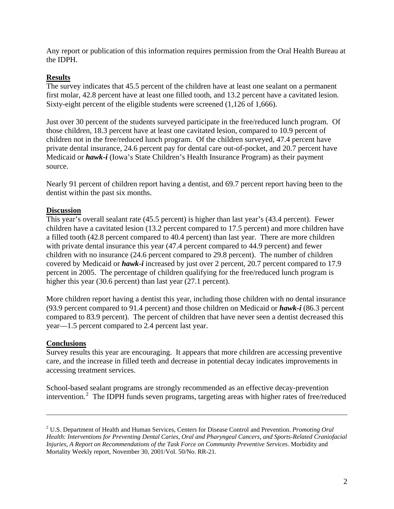Any report or publication of this information requires permission from the Oral Health Bureau at the IDPH.

### **Results**

The survey indicates that 45.5 percent of the children have at least one sealant on a permanent first molar, 42.8 percent have at least one filled tooth, and 13.2 percent have a cavitated lesion. Sixty-eight percent of the eligible students were screened (1,126 of 1,666).

Just over 30 percent of the students surveyed participate in the free/reduced lunch program. Of those children, 18.3 percent have at least one cavitated lesion, compared to 10.9 percent of children not in the free/reduced lunch program. Of the children surveyed, 47.4 percent have private dental insurance, 24.6 percent pay for dental care out-of-pocket, and 20.7 percent have Medicaid or *hawk-i* (Iowa's State Children's Health Insurance Program) as their payment source.

Nearly 91 percent of children report having a dentist, and 69.7 percent report having been to the dentist within the past six months.

#### **Discussion**

This year's overall sealant rate (45.5 percent) is higher than last year's (43.4 percent). Fewer children have a cavitated lesion (13.2 percent compared to 17.5 percent) and more children have a filled tooth (42.8 percent compared to 40.4 percent) than last year. There are more children with private dental insurance this year  $(47.4$  percent compared to  $44.9$  percent) and fewer children with no insurance (24.6 percent compared to 29.8 percent). The number of children covered by Medicaid or *hawk-i* increased by just over 2 percent, 20.7 percent compared to 17.9 percent in 2005. The percentage of children qualifying for the free/reduced lunch program is higher this year (30.6 percent) than last year (27.1 percent).

More children report having a dentist this year, including those children with no dental insurance (93.9 percent compared to 91.4 percent) and those children on Medicaid or *hawk-i* (86.3 percent compared to 83.9 percent). The percent of children that have never seen a dentist decreased this year—1.5 percent compared to 2.4 percent last year.

#### **Conclusions**

 $\overline{a}$ 

Survey results this year are encouraging. It appears that more children are accessing preventive care, and the increase in filled teeth and decrease in potential decay indicates improvements in accessing treatment services.

School-based sealant programs are strongly recommended as an effective decay-prevention intervention.<sup>[2](#page-1-0)</sup> The IDPH funds seven programs, targeting areas with higher rates of free/reduced

<span id="page-1-0"></span><sup>2</sup> U.S. Department of Health and Human Services, Centers for Disease Control and Prevention. *Promoting Oral Health: Interventions for Preventing Dental Caries, Oral and Pharyngeal Cancers, and Sports-Related Craniofacial Injuries, A Report on Recommendations of the Task Force on Community Preventive Services*. Morbidity and Mortality Weekly report, November 30, 2001/Vol. 50/No. RR-21.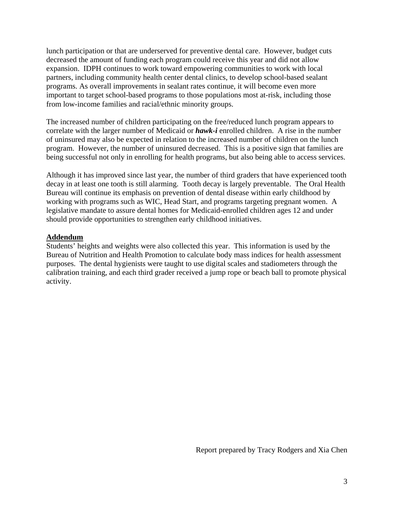lunch participation or that are underserved for preventive dental care. However, budget cuts decreased the amount of funding each program could receive this year and did not allow expansion. IDPH continues to work toward empowering communities to work with local partners, including community health center dental clinics, to develop school-based sealant programs. As overall improvements in sealant rates continue, it will become even more important to target school-based programs to those populations most at-risk, including those from low-income families and racial/ethnic minority groups.

The increased number of children participating on the free/reduced lunch program appears to correlate with the larger number of Medicaid or *hawk-i* enrolled children. A rise in the number of uninsured may also be expected in relation to the increased number of children on the lunch program. However, the number of uninsured decreased. This is a positive sign that families are being successful not only in enrolling for health programs, but also being able to access services.

Although it has improved since last year, the number of third graders that have experienced tooth decay in at least one tooth is still alarming. Tooth decay is largely preventable. The Oral Health Bureau will continue its emphasis on prevention of dental disease within early childhood by working with programs such as WIC, Head Start, and programs targeting pregnant women. A legislative mandate to assure dental homes for Medicaid-enrolled children ages 12 and under should provide opportunities to strengthen early childhood initiatives.

#### **Addendum**

Students' heights and weights were also collected this year. This information is used by the Bureau of Nutrition and Health Promotion to calculate body mass indices for health assessment purposes. The dental hygienists were taught to use digital scales and stadiometers through the calibration training, and each third grader received a jump rope or beach ball to promote physical activity.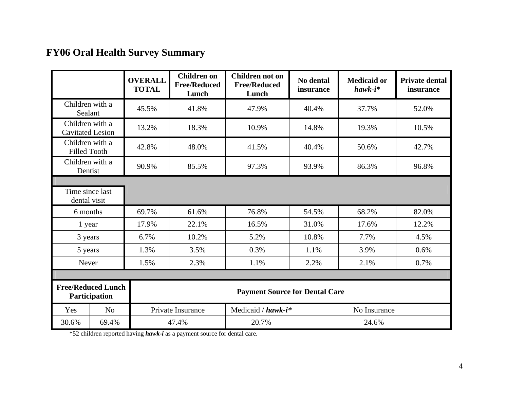| <b>FY06 Oral Health Survey Summary</b> |  |  |  |
|----------------------------------------|--|--|--|
|----------------------------------------|--|--|--|

|                                            | <b>OVERALL</b><br><b>TOTAL</b>                                                      |                                                           | <b>Children on</b><br><b>Free/Reduced</b><br>Lunch | <b>Children not on</b><br><b>Free/Reduced</b><br>Lunch | No dental<br>insurance | <b>Medicaid or</b><br>$hawk-i*$ | <b>Private dental</b><br>insurance |
|--------------------------------------------|-------------------------------------------------------------------------------------|-----------------------------------------------------------|----------------------------------------------------|--------------------------------------------------------|------------------------|---------------------------------|------------------------------------|
| Children with a<br>Sealant                 |                                                                                     | 45.5%                                                     | 41.8%                                              | 47.9%                                                  | 40.4%                  | 37.7%<br>52.0%                  |                                    |
| Children with a<br><b>Cavitated Lesion</b> |                                                                                     | 13.2%                                                     | 18.3%                                              | 10.9%                                                  | 14.8%<br>19.3%         |                                 | 10.5%                              |
| Children with a<br><b>Filled Tooth</b>     |                                                                                     | 42.8%                                                     | 48.0%<br>40.4%<br>41.5%                            |                                                        | 50.6%<br>42.7%         |                                 |                                    |
| Children with a<br>Dentist                 |                                                                                     | 90.9%                                                     | 85.5%                                              | 97.3%                                                  | 93.9%                  | 86.3%                           |                                    |
| Time since last<br>dental visit            |                                                                                     |                                                           |                                                    |                                                        |                        |                                 |                                    |
|                                            | 6 months<br>69.7%<br>61.6%<br>76.8%<br>54.5%                                        |                                                           | 68.2%                                              | 82.0%                                                  |                        |                                 |                                    |
| 1 year                                     |                                                                                     | 17.9%                                                     | 22.1%                                              | 16.5%                                                  | 31.0%<br>17.6%         |                                 | 12.2%                              |
| 3 years                                    |                                                                                     | 6.7%                                                      | 10.2%                                              | 5.2%                                                   | 10.8%                  | 7.7%                            | 4.5%                               |
| 5 years                                    |                                                                                     | 1.3%<br>3.5%                                              |                                                    | 0.3%                                                   | 1.1%                   | 3.9%                            | 0.6%                               |
|                                            | Never                                                                               |                                                           | 2.3%                                               | 1.1%                                                   | 2.2%                   | 2.1%                            | 0.7%                               |
|                                            |                                                                                     |                                                           |                                                    |                                                        |                        |                                 |                                    |
|                                            | <b>Free/Reduced Lunch</b><br><b>Payment Source for Dental Care</b><br>Participation |                                                           |                                                    |                                                        |                        |                                 |                                    |
| Yes                                        | N <sub>o</sub>                                                                      | Medicaid / $hawk-i*$<br>No Insurance<br>Private Insurance |                                                    |                                                        |                        |                                 |                                    |
| 30.6%                                      | 69.4%                                                                               | 47.4%                                                     |                                                    | 20.7%                                                  |                        | 24.6%                           |                                    |

\*52 children reported having *hawk-i* as a payment source for dental care.